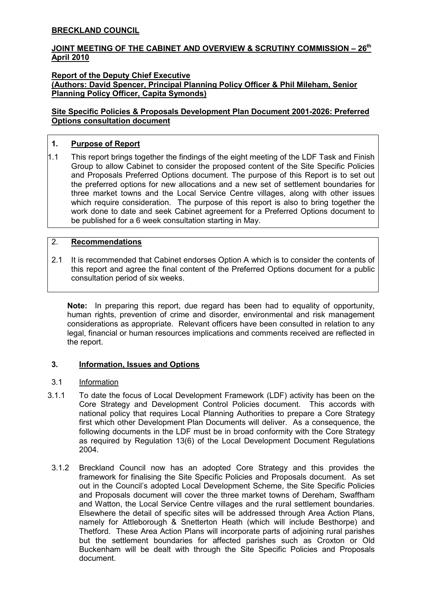# BRECKLAND COUNCIL

# JOINT MEETING OF THE CABINET AND OVERVIEW & SCRUTINY COMMISSION - 26<sup>th</sup> April 2010

#### Report of the Deputy Chief Executive (Authors: David Spencer, Principal Planning Policy Officer & Phil Mileham, Senior Planning Policy Officer, Capita Symonds)

## Site Specific Policies & Proposals Development Plan Document 2001-2026: Preferred Options consultation document

# 1. Purpose of Report

1.1 This report brings together the findings of the eight meeting of the LDF Task and Finish Group to allow Cabinet to consider the proposed content of the Site Specific Policies and Proposals Preferred Options document. The purpose of this Report is to set out the preferred options for new allocations and a new set of settlement boundaries for three market towns and the Local Service Centre villages, along with other issues which require consideration. The purpose of this report is also to bring together the work done to date and seek Cabinet agreement for a Preferred Options document to be published for a 6 week consultation starting in May.

# 2. Recommendations

2.1 It is recommended that Cabinet endorses Option A which is to consider the contents of this report and agree the final content of the Preferred Options document for a public consultation period of six weeks.

Note: In preparing this report, due regard has been had to equality of opportunity, human rights, prevention of crime and disorder, environmental and risk management considerations as appropriate. Relevant officers have been consulted in relation to any legal, financial or human resources implications and comments received are reflected in the report.

# 3. Information, Issues and Options

### 3.1 Information

- 3.1.1 To date the focus of Local Development Framework (LDF) activity has been on the Core Strategy and Development Control Policies document. This accords with national policy that requires Local Planning Authorities to prepare a Core Strategy first which other Development Plan Documents will deliver. As a consequence, the following documents in the LDF must be in broad conformity with the Core Strategy as required by Regulation 13(6) of the Local Development Document Regulations 2004.
- 3.1.2 Breckland Council now has an adopted Core Strategy and this provides the framework for finalising the Site Specific Policies and Proposals document. As set out in the Council's adopted Local Development Scheme, the Site Specific Policies and Proposals document will cover the three market towns of Dereham, Swaffham and Watton, the Local Service Centre villages and the rural settlement boundaries. Elsewhere the detail of specific sites will be addressed through Area Action Plans, namely for Attleborough & Snetterton Heath (which will include Besthorpe) and Thetford. These Area Action Plans will incorporate parts of adjoining rural parishes but the settlement boundaries for affected parishes such as Croxton or Old Buckenham will be dealt with through the Site Specific Policies and Proposals document.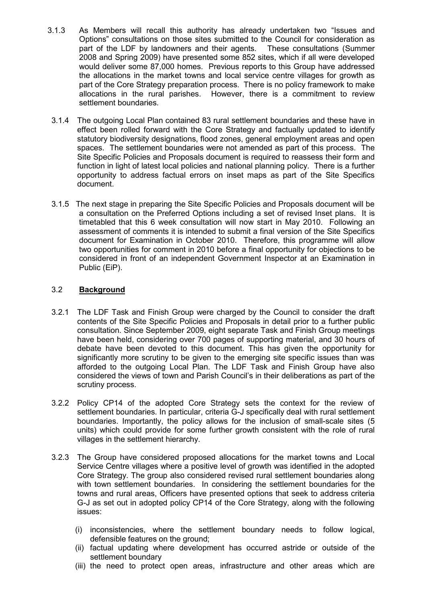- 3.1.3 As Members will recall this authority has already undertaken two "Issues and Options" consultations on those sites submitted to the Council for consideration as part of the LDF by landowners and their agents. These consultations (Summer 2008 and Spring 2009) have presented some 852 sites, which if all were developed would deliver some 87,000 homes. Previous reports to this Group have addressed the allocations in the market towns and local service centre villages for growth as part of the Core Strategy preparation process. There is no policy framework to make allocations in the rural parishes. However, there is a commitment to review settlement boundaries.
- 3.1.4 The outgoing Local Plan contained 83 rural settlement boundaries and these have in effect been rolled forward with the Core Strategy and factually updated to identify statutory biodiversity designations, flood zones, general employment areas and open spaces. The settlement boundaries were not amended as part of this process. The Site Specific Policies and Proposals document is required to reassess their form and function in light of latest local policies and national planning policy. There is a further opportunity to address factual errors on inset maps as part of the Site Specifics document.
- 3.1.5 The next stage in preparing the Site Specific Policies and Proposals document will be a consultation on the Preferred Options including a set of revised Inset plans. It is timetabled that this 6 week consultation will now start in May 2010. Following an assessment of comments it is intended to submit a final version of the Site Specifics document for Examination in October 2010. Therefore, this programme will allow two opportunities for comment in 2010 before a final opportunity for objections to be considered in front of an independent Government Inspector at an Examination in Public (EiP).

# 3.2 Background

- 3.2.1 The LDF Task and Finish Group were charged by the Council to consider the draft contents of the Site Specific Policies and Proposals in detail prior to a further public consultation. Since September 2009, eight separate Task and Finish Group meetings have been held, considering over 700 pages of supporting material, and 30 hours of debate have been devoted to this document. This has given the opportunity for significantly more scrutiny to be given to the emerging site specific issues than was afforded to the outgoing Local Plan. The LDF Task and Finish Group have also considered the views of town and Parish Council's in their deliberations as part of the scrutiny process.
- 3.2.2 Policy CP14 of the adopted Core Strategy sets the context for the review of settlement boundaries. In particular, criteria G-J specifically deal with rural settlement boundaries. Importantly, the policy allows for the inclusion of small-scale sites (5 units) which could provide for some further growth consistent with the role of rural villages in the settlement hierarchy.
- 3.2.3 The Group have considered proposed allocations for the market towns and Local Service Centre villages where a positive level of growth was identified in the adopted Core Strategy. The group also considered revised rural settlement boundaries along with town settlement boundaries. In considering the settlement boundaries for the towns and rural areas, Officers have presented options that seek to address criteria G-J as set out in adopted policy CP14 of the Core Strategy, along with the following issues:
	- (i) inconsistencies, where the settlement boundary needs to follow logical, defensible features on the ground;
	- (ii) factual updating where development has occurred astride or outside of the settlement boundary
	- (iii) the need to protect open areas, infrastructure and other areas which are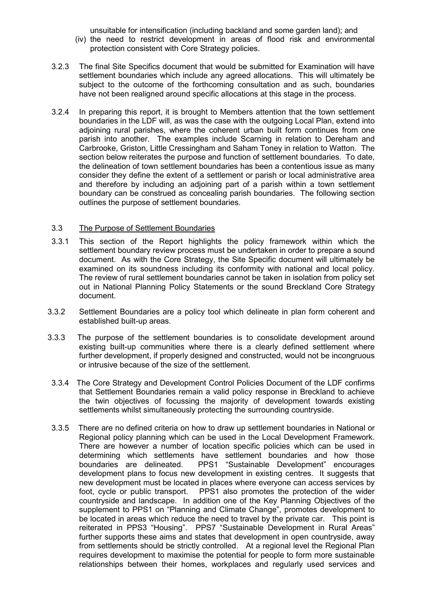unsuitable for intensification (including backland and some garden land); and

- (iv) the need to restrict development in areas of flood risk and environmental protection consistent with Core Strategy policies.
- 3.2.3 The final Site Specifics document that would be submitted for Examination will have settlement boundaries which include any agreed allocations. This will ultimately be subject to the outcome of the forthcoming consultation and as such, boundaries have not been realigned around specific allocations at this stage in the process.
- 3.2.4 In preparing this report, it is brought to Members attention that the town settlement boundaries in the LDF will, as was the case with the outgoing Local Plan, extend into adjoining rural parishes, where the coherent urban built form continues from one parish into another. The examples include Scarning in relation to Dereham and Carbrooke, Griston, Little Cressingham and Saham Toney in relation to Watton. The section below reiterates the purpose and function of settlement boundaries. To date, the delineation of town settlement boundaries has been a contentious issue as many consider they define the extent of a settlement or parish or local administrative area and therefore by including an adjoining part of a parish within a town settlement boundary can be construed as concealing parish boundaries. The following section outlines the purpose of settlement boundaries.

#### 3.3 The Purpose of Settlement Boundaries

- 3.3.1 This section of the Report highlights the policy framework within which the settlement boundary review process must be undertaken in order to prepare a sound document. As with the Core Strategy, the Site Specific document will ultimately be examined on its soundness including its conformity with national and local policy. The review of rural settlement boundaries cannot be taken in isolation from policy set out in National Planning Policy Statements or the sound Breckland Core Strategy document.
- 3.3.2 Settlement Boundaries are a policy tool which delineate in plan form coherent and established built-up areas.
- 3.3.3 The purpose of the settlement boundaries is to consolidate development around existing built-up communities where there is a clearly defined settlement where further development, if properly designed and constructed, would not be incongruous or intrusive because of the size of the settlement.
- 3.3.4 The Core Strategy and Development Control Policies Document of the LDF confirms that Settlement Boundaries remain a valid policy response in Breckland to achieve the twin objectives of focussing the majority of development towards existing settlements whilst simultaneously protecting the surrounding countryside.
- 3.3.5 There are no defined criteria on how to draw up settlement boundaries in National or Regional policy planning which can be used in the Local Development Framework. There are however a number of location specific policies which can be used in determining which settlements have settlement boundaries and how those boundaries are delineated. PPS1 "Sustainable Development" encourages development plans to focus new development in existing centres. It suggests that new development must be located in places where everyone can access services by foot, cycle or public transport. PPS1 also promotes the protection of the wider countryside and landscape. In addition one of the Key Planning Objectives of the supplement to PPS1 on "Planning and Climate Change", promotes development to be located in areas which reduce the need to travel by the private car. This point is reiterated in PPS3 "Housing". PPS7 "Sustainable Development in Rural Areas" further supports these aims and states that development in open countryside, away from settlements should be strictly controlled. At a regional level the Regional Plan requires development to maximise the potential for people to form more sustainable relationships between their homes, workplaces and regularly used services and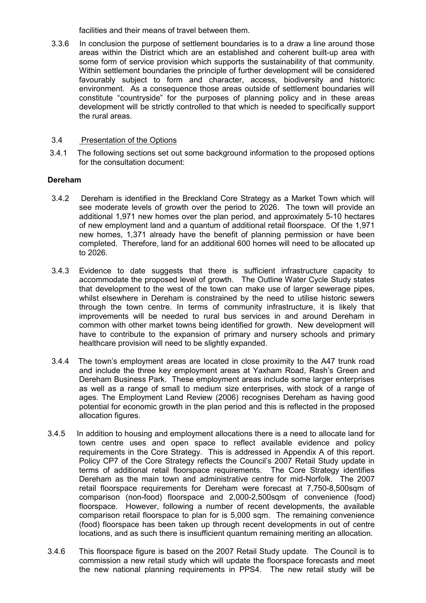facilities and their means of travel between them.

3.3.6 In conclusion the purpose of settlement boundaries is to a draw a line around those areas within the District which are an established and coherent built-up area with some form of service provision which supports the sustainability of that community. Within settlement boundaries the principle of further development will be considered favourably subject to form and character, access, biodiversity and historic environment. As a consequence those areas outside of settlement boundaries will constitute "countryside" for the purposes of planning policy and in these areas development will be strictly controlled to that which is needed to specifically support the rural areas.

### 3.4 Presentation of the Options

 3.4.1 The following sections set out some background information to the proposed options for the consultation document:

## Dereham

- 3.4.2 Dereham is identified in the Breckland Core Strategy as a Market Town which will see moderate levels of growth over the period to 2026. The town will provide an additional 1,971 new homes over the plan period, and approximately 5-10 hectares of new employment land and a quantum of additional retail floorspace. Of the 1,971 new homes, 1,371 already have the benefit of planning permission or have been completed. Therefore, land for an additional 600 homes will need to be allocated up to 2026.
- 3.4.3 Evidence to date suggests that there is sufficient infrastructure capacity to accommodate the proposed level of growth. The Outline Water Cycle Study states that development to the west of the town can make use of larger sewerage pipes, whilst elsewhere in Dereham is constrained by the need to utilise historic sewers through the town centre. In terms of community infrastructure, it is likely that improvements will be needed to rural bus services in and around Dereham in common with other market towns being identified for growth. New development will have to contribute to the expansion of primary and nursery schools and primary healthcare provision will need to be slightly expanded.
- 3.4.4 The town's employment areas are located in close proximity to the A47 trunk road and include the three key employment areas at Yaxham Road, Rash's Green and Dereham Business Park. These employment areas include some larger enterprises as well as a range of small to medium size enterprises, with stock of a range of ages. The Employment Land Review (2006) recognises Dereham as having good potential for economic growth in the plan period and this is reflected in the proposed allocation figures.
- 3.4.5 In addition to housing and employment allocations there is a need to allocate land for town centre uses and open space to reflect available evidence and policy requirements in the Core Strategy. This is addressed in Appendix A of this report. Policy CP7 of the Core Strategy reflects the Council's 2007 Retail Study update in terms of additional retail floorspace requirements. The Core Strategy identifies Dereham as the main town and administrative centre for mid-Norfolk. The 2007 retail floorspace requirements for Dereham were forecast at 7,750-8,500sqm of comparison (non-food) floorspace and 2,000-2,500sqm of convenience (food) floorspace. However, following a number of recent developments, the available comparison retail floorspace to plan for is 5,000 sqm. The remaining convenience (food) floorspace has been taken up through recent developments in out of centre locations, and as such there is insufficient quantum remaining meriting an allocation.
- 3.4.6 This floorspace figure is based on the 2007 Retail Study update. The Council is to commission a new retail study which will update the floorspace forecasts and meet the new national planning requirements in PPS4. The new retail study will be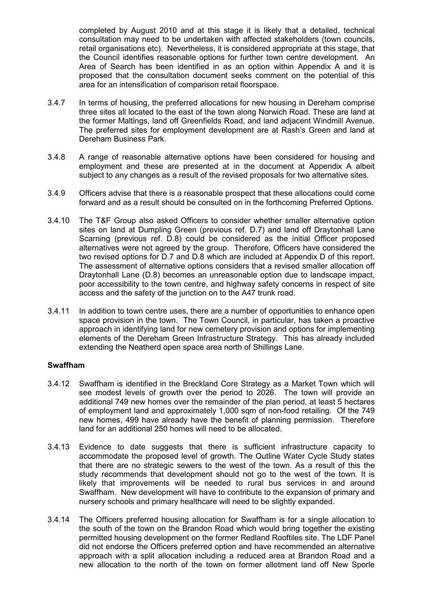completed by August 2010 and at this stage it is likely that a detailed, technical consultation may need to be undertaken with affected stakeholders (town councils, retail organisations etc). Nevertheless, it is considered appropriate at this stage, that the Council identifies reasonable options for further town centre development. An Area of Search has been identified in as an option within Appendix A and it is proposed that the consultation document seeks comment on the potential of this area for an intensification of comparison retail floorspace.

- 3.4.7 In terms of housing, the preferred allocations for new housing in Dereham comprise three sites all located to the east of the town along Norwich Road. These are land at the former Maltings, land off Greenfields Road, and land adjacent Windmill Avenue. The preferred sites for employment development are at Rash's Green and land at Dereham Business Park.
- 3.4.8 A range of reasonable alternative options have been considered for housing and employment and these are presented at in the document at Appendix A albeit subject to any changes as a result of the revised proposals for two alternative sites.
- 3.4.9 Officers advise that there is a reasonable prospect that these allocations could come forward and as a result should be consulted on in the forthcoming Preferred Options.
- 3.4.10 The T&F Group also asked Officers to consider whether smaller alternative option sites on land at Dumpling Green (previous ref. D.7) and land off Draytonhall Lane Scarning (previous ref. D.8) could be considered as the initial Officer proposed alternatives were not agreed by the group. Therefore, Officers have considered the two revised options for D.7 and D.8 which are included at Appendix D of this report. The assessment of alternative options considers that a revised smaller allocation off Draytonhall Lane (D.8) becomes an unreasonable option due to landscape impact, poor accessibility to the town centre, and highway safety concerns in respect of site access and the safety of the junction on to the A47 trunk road.
- 3.4.11 In addition to town centre uses, there are a number of opportunities to enhance open space provision in the town. The Town Council, in particular, has taken a proactive approach in identifying land for new cemetery provision and options for implementing elements of the Dereham Green Infrastructure Strategy. This has already included extending the Neatherd open space area north of Shillings Lane.

#### Swaffham

- 3.4.12 Swaffham is identified in the Breckland Core Strategy as a Market Town which will see modest levels of growth over the period to 2026. The town will provide an additional 749 new homes over the remainder of the plan period, at least 5 hectares of employment land and approximately 1,000 sqm of non-food retailing. Of the 749 new homes, 499 have already have the benefit of planning permission. Therefore land for an additional 250 homes will need to be allocated.
- 3.4.13 Evidence to date suggests that there is sufficient infrastructure capacity to accommodate the proposed level of growth. The Outline Water Cycle Study states that there are no strategic sewers to the west of the town. As a result of this the study recommends that development should not go to the west of the town. It is likely that improvements will be needed to rural bus services in and around Swaffham. New development will have to contribute to the expansion of primary and nursery schools and primary healthcare will need to be slightly expanded.
- 3.4.14 The Officers preferred housing allocation for Swaffham is for a single allocation to the south of the town on the Brandon Road which would bring together the existing permitted housing development on the former Redland Rooftiles site. The LDF Panel did not endorse the Officers preferred option and have recommended an alternative approach with a split allocation including a reduced area at Brandon Road and a new allocation to the north of the town on former allotment land off New Sporle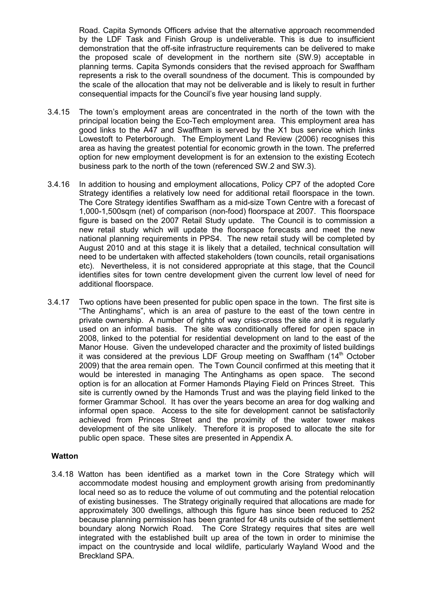Road. Capita Symonds Officers advise that the alternative approach recommended by the LDF Task and Finish Group is undeliverable. This is due to insufficient demonstration that the off-site infrastructure requirements can be delivered to make the proposed scale of development in the northern site (SW.9) acceptable in planning terms. Capita Symonds considers that the revised approach for Swaffham represents a risk to the overall soundness of the document. This is compounded by the scale of the allocation that may not be deliverable and is likely to result in further consequential impacts for the Council's five year housing land supply.

- 3.4.15 The town's employment areas are concentrated in the north of the town with the principal location being the Eco-Tech employment area. This employment area has good links to the A47 and Swaffham is served by the X1 bus service which links Lowestoft to Peterborough. The Employment Land Review (2006) recognises this area as having the greatest potential for economic growth in the town. The preferred option for new employment development is for an extension to the existing Ecotech business park to the north of the town (referenced SW.2 and SW.3).
- 3.4.16 In addition to housing and employment allocations, Policy CP7 of the adopted Core Strategy identifies a relatively low need for additional retail floorspace in the town. The Core Strategy identifies Swaffham as a mid-size Town Centre with a forecast of 1,000-1,500sqm (net) of comparison (non-food) floorspace at 2007. This floorspace figure is based on the 2007 Retail Study update. The Council is to commission a new retail study which will update the floorspace forecasts and meet the new national planning requirements in PPS4. The new retail study will be completed by August 2010 and at this stage it is likely that a detailed, technical consultation will need to be undertaken with affected stakeholders (town councils, retail organisations etc). Nevertheless, it is not considered appropriate at this stage, that the Council identifies sites for town centre development given the current low level of need for additional floorspace.
- 3.4.17 Two options have been presented for public open space in the town. The first site is "The Antinghams", which is an area of pasture to the east of the town centre in private ownership. A number of rights of way criss-cross the site and it is regularly used on an informal basis. The site was conditionally offered for open space in 2008, linked to the potential for residential development on land to the east of the Manor House. Given the undeveloped character and the proximity of listed buildings it was considered at the previous LDF Group meeting on Swaffham  $(14<sup>th</sup> October$ 2009) that the area remain open. The Town Council confirmed at this meeting that it would be interested in managing The Antinghams as open space. The second option is for an allocation at Former Hamonds Playing Field on Princes Street. This site is currently owned by the Hamonds Trust and was the playing field linked to the former Grammar School. It has over the years become an area for dog walking and informal open space. Access to the site for development cannot be satisfactorily achieved from Princes Street and the proximity of the water tower makes development of the site unlikely. Therefore it is proposed to allocate the site for public open space. These sites are presented in Appendix A.

#### **Watton**

3.4.18 Watton has been identified as a market town in the Core Strategy which will accommodate modest housing and employment growth arising from predominantly local need so as to reduce the volume of out commuting and the potential relocation of existing businesses. The Strategy originally required that allocations are made for approximately 300 dwellings, although this figure has since been reduced to 252 because planning permission has been granted for 48 units outside of the settlement boundary along Norwich Road. The Core Strategy requires that sites are well integrated with the established built up area of the town in order to minimise the impact on the countryside and local wildlife, particularly Wayland Wood and the Breckland SPA.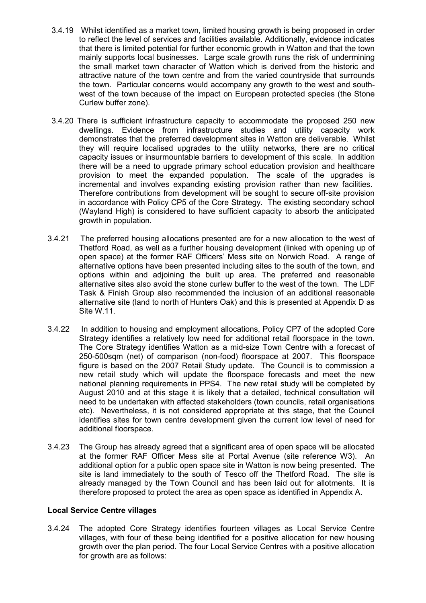- 3.4.19 Whilst identified as a market town, limited housing growth is being proposed in order to reflect the level of services and facilities available. Additionally, evidence indicates that there is limited potential for further economic growth in Watton and that the town mainly supports local businesses. Large scale growth runs the risk of undermining the small market town character of Watton which is derived from the historic and attractive nature of the town centre and from the varied countryside that surrounds the town. Particular concerns would accompany any growth to the west and southwest of the town because of the impact on European protected species (the Stone Curlew buffer zone).
- 3.4.20 There is sufficient infrastructure capacity to accommodate the proposed 250 new dwellings. Evidence from infrastructure studies and utility capacity work demonstrates that the preferred development sites in Watton are deliverable. Whilst they will require localised upgrades to the utility networks, there are no critical capacity issues or insurmountable barriers to development of this scale. In addition there will be a need to upgrade primary school education provision and healthcare provision to meet the expanded population. The scale of the upgrades is incremental and involves expanding existing provision rather than new facilities. Therefore contributions from development will be sought to secure off-site provision in accordance with Policy CP5 of the Core Strategy. The existing secondary school (Wayland High) is considered to have sufficient capacity to absorb the anticipated growth in population.
- 3.4.21 The preferred housing allocations presented are for a new allocation to the west of Thetford Road, as well as a further housing development (linked with opening up of open space) at the former RAF Officers' Mess site on Norwich Road. A range of alternative options have been presented including sites to the south of the town, and options within and adjoining the built up area. The preferred and reasonable alternative sites also avoid the stone curlew buffer to the west of the town. The LDF Task & Finish Group also recommended the inclusion of an additional reasonable alternative site (land to north of Hunters Oak) and this is presented at Appendix D as Site W.11.
- 3.4.22 In addition to housing and employment allocations, Policy CP7 of the adopted Core Strategy identifies a relatively low need for additional retail floorspace in the town. The Core Strategy identifies Watton as a mid-size Town Centre with a forecast of 250-500sqm (net) of comparison (non-food) floorspace at 2007. This floorspace figure is based on the 2007 Retail Study update. The Council is to commission a new retail study which will update the floorspace forecasts and meet the new national planning requirements in PPS4. The new retail study will be completed by August 2010 and at this stage it is likely that a detailed, technical consultation will need to be undertaken with affected stakeholders (town councils, retail organisations etc). Nevertheless, it is not considered appropriate at this stage, that the Council identifies sites for town centre development given the current low level of need for additional floorspace.
- 3.4.23 The Group has already agreed that a significant area of open space will be allocated at the former RAF Officer Mess site at Portal Avenue (site reference W3). An additional option for a public open space site in Watton is now being presented. The site is land immediately to the south of Tesco off the Thetford Road. The site is already managed by the Town Council and has been laid out for allotments. It is therefore proposed to protect the area as open space as identified in Appendix A.

### Local Service Centre villages

3.4.24 The adopted Core Strategy identifies fourteen villages as Local Service Centre villages, with four of these being identified for a positive allocation for new housing growth over the plan period. The four Local Service Centres with a positive allocation for growth are as follows: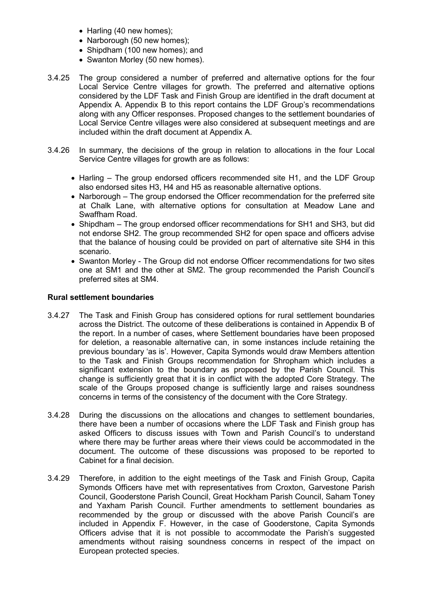- Harling (40 new homes);
- Narborough (50 new homes);
- Shipdham (100 new homes); and
- Swanton Morley (50 new homes).
- 3.4.25 The group considered a number of preferred and alternative options for the four Local Service Centre villages for growth. The preferred and alternative options considered by the LDF Task and Finish Group are identified in the draft document at Appendix A. Appendix B to this report contains the LDF Group's recommendations along with any Officer responses. Proposed changes to the settlement boundaries of Local Service Centre villages were also considered at subsequent meetings and are included within the draft document at Appendix A.
- 3.4.26 In summary, the decisions of the group in relation to allocations in the four Local Service Centre villages for growth are as follows:
	- Harling The group endorsed officers recommended site H1, and the LDF Group also endorsed sites H3, H4 and H5 as reasonable alternative options.
	- Narborough The group endorsed the Officer recommendation for the preferred site at Chalk Lane, with alternative options for consultation at Meadow Lane and Swaffham Road.
	- Shipdham The group endorsed officer recommendations for SH1 and SH3, but did not endorse SH2. The group recommended SH2 for open space and officers advise that the balance of housing could be provided on part of alternative site SH4 in this scenario.
	- Swanton Morley The Group did not endorse Officer recommendations for two sites one at SM1 and the other at SM2. The group recommended the Parish Council's preferred sites at SM4.

#### Rural settlement boundaries

- 3.4.27 The Task and Finish Group has considered options for rural settlement boundaries across the District. The outcome of these deliberations is contained in Appendix B of the report. In a number of cases, where Settlement boundaries have been proposed for deletion, a reasonable alternative can, in some instances include retaining the previous boundary 'as is'. However, Capita Symonds would draw Members attention to the Task and Finish Groups recommendation for Shropham which includes a significant extension to the boundary as proposed by the Parish Council. This change is sufficiently great that it is in conflict with the adopted Core Strategy. The scale of the Groups proposed change is sufficiently large and raises soundness concerns in terms of the consistency of the document with the Core Strategy.
- 3.4.28 During the discussions on the allocations and changes to settlement boundaries, there have been a number of occasions where the LDF Task and Finish group has asked Officers to discuss issues with Town and Parish Council's to understand where there may be further areas where their views could be accommodated in the document. The outcome of these discussions was proposed to be reported to Cabinet for a final decision.
- 3.4.29 Therefore, in addition to the eight meetings of the Task and Finish Group, Capita Symonds Officers have met with representatives from Croxton, Garvestone Parish Council, Gooderstone Parish Council, Great Hockham Parish Council, Saham Toney and Yaxham Parish Council. Further amendments to settlement boundaries as recommended by the group or discussed with the above Parish Council's are included in Appendix F. However, in the case of Gooderstone, Capita Symonds Officers advise that it is not possible to accommodate the Parish's suggested amendments without raising soundness concerns in respect of the impact on European protected species.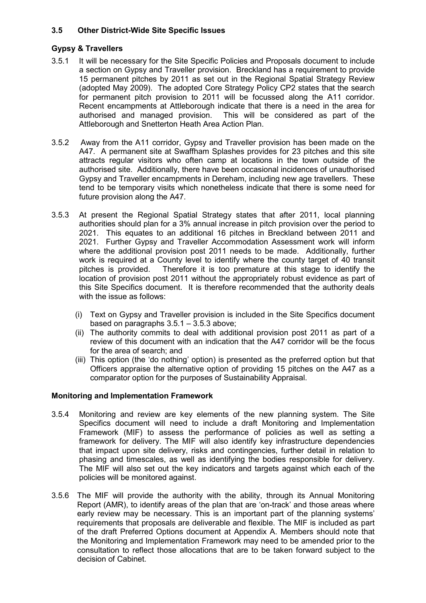## 3.5 Other District-Wide Site Specific Issues

### Gypsy & Travellers

- 3.5.1 It will be necessary for the Site Specific Policies and Proposals document to include a section on Gypsy and Traveller provision. Breckland has a requirement to provide 15 permanent pitches by 2011 as set out in the Regional Spatial Strategy Review (adopted May 2009). The adopted Core Strategy Policy CP2 states that the search for permanent pitch provision to 2011 will be focussed along the A11 corridor. Recent encampments at Attleborough indicate that there is a need in the area for authorised and managed provision. This will be considered as part of the Attleborough and Snetterton Heath Area Action Plan.
- 3.5.2 Away from the A11 corridor, Gypsy and Traveller provision has been made on the A47. A permanent site at Swaffham Splashes provides for 23 pitches and this site attracts regular visitors who often camp at locations in the town outside of the authorised site. Additionally, there have been occasional incidences of unauthorised Gypsy and Traveller encampments in Dereham, including new age travellers. These tend to be temporary visits which nonetheless indicate that there is some need for future provision along the A47.
- 3.5.3 At present the Regional Spatial Strategy states that after 2011, local planning authorities should plan for a 3% annual increase in pitch provision over the period to 2021. This equates to an additional 16 pitches in Breckland between 2011 and 2021. Further Gypsy and Traveller Accommodation Assessment work will inform where the additional provision post 2011 needs to be made. Additionally, further work is required at a County level to identify where the county target of 40 transit pitches is provided. Therefore it is too premature at this stage to identify the location of provision post 2011 without the appropriately robust evidence as part of this Site Specifics document. It is therefore recommended that the authority deals with the issue as follows:
	- (i) Text on Gypsy and Traveller provision is included in the Site Specifics document based on paragraphs 3.5.1 – 3.5.3 above;
	- (ii) The authority commits to deal with additional provision post 2011 as part of a review of this document with an indication that the A47 corridor will be the focus for the area of search; and
	- (iii) This option (the 'do nothing' option) is presented as the preferred option but that Officers appraise the alternative option of providing 15 pitches on the A47 as a comparator option for the purposes of Sustainability Appraisal.

### Monitoring and Implementation Framework

- 3.5.4 Monitoring and review are key elements of the new planning system. The Site Specifics document will need to include a draft Monitoring and Implementation Framework (MIF) to assess the performance of policies as well as setting a framework for delivery. The MIF will also identify key infrastructure dependencies that impact upon site delivery, risks and contingencies, further detail in relation to phasing and timescales, as well as identifying the bodies responsible for delivery. The MIF will also set out the key indicators and targets against which each of the policies will be monitored against.
- 3.5.6 The MIF will provide the authority with the ability, through its Annual Monitoring Report (AMR), to identify areas of the plan that are 'on-track' and those areas where early review may be necessary. This is an important part of the planning systems' requirements that proposals are deliverable and flexible. The MIF is included as part of the draft Preferred Options document at Appendix A. Members should note that the Monitoring and Implementation Framework may need to be amended prior to the consultation to reflect those allocations that are to be taken forward subject to the decision of Cabinet.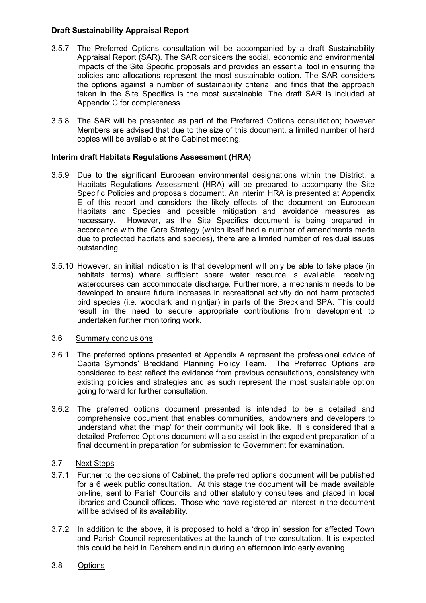### Draft Sustainability Appraisal Report

- 3.5.7 The Preferred Options consultation will be accompanied by a draft Sustainability Appraisal Report (SAR). The SAR considers the social, economic and environmental impacts of the Site Specific proposals and provides an essential tool in ensuring the policies and allocations represent the most sustainable option. The SAR considers the options against a number of sustainability criteria, and finds that the approach taken in the Site Specifics is the most sustainable. The draft SAR is included at Appendix C for completeness.
- 3.5.8 The SAR will be presented as part of the Preferred Options consultation; however Members are advised that due to the size of this document, a limited number of hard copies will be available at the Cabinet meeting.

### Interim draft Habitats Regulations Assessment (HRA)

- 3.5.9 Due to the significant European environmental designations within the District, a Habitats Regulations Assessment (HRA) will be prepared to accompany the Site Specific Policies and proposals document. An interim HRA is presented at Appendix E of this report and considers the likely effects of the document on European Habitats and Species and possible mitigation and avoidance measures as necessary. However, as the Site Specifics document is being prepared in accordance with the Core Strategy (which itself had a number of amendments made due to protected habitats and species), there are a limited number of residual issues outstanding.
- 3.5.10 However, an initial indication is that development will only be able to take place (in habitats terms) where sufficient spare water resource is available, receiving watercourses can accommodate discharge. Furthermore, a mechanism needs to be developed to ensure future increases in recreational activity do not harm protected bird species (i.e. woodlark and nightjar) in parts of the Breckland SPA. This could result in the need to secure appropriate contributions from development to undertaken further monitoring work.

### 3.6 Summary conclusions

- 3.6.1 The preferred options presented at Appendix A represent the professional advice of Capita Symonds' Breckland Planning Policy Team. The Preferred Options are considered to best reflect the evidence from previous consultations, consistency with existing policies and strategies and as such represent the most sustainable option going forward for further consultation.
- 3.6.2 The preferred options document presented is intended to be a detailed and comprehensive document that enables communities, landowners and developers to understand what the 'map' for their community will look like. It is considered that a detailed Preferred Options document will also assist in the expedient preparation of a final document in preparation for submission to Government for examination.

## 3.7 Next Steps

- 3.7.1 Further to the decisions of Cabinet, the preferred options document will be published for a 6 week public consultation. At this stage the document will be made available on-line, sent to Parish Councils and other statutory consultees and placed in local libraries and Council offices. Those who have registered an interest in the document will be advised of its availability.
- 3.7.2 In addition to the above, it is proposed to hold a 'drop in' session for affected Town and Parish Council representatives at the launch of the consultation. It is expected this could be held in Dereham and run during an afternoon into early evening.
- 3.8 Options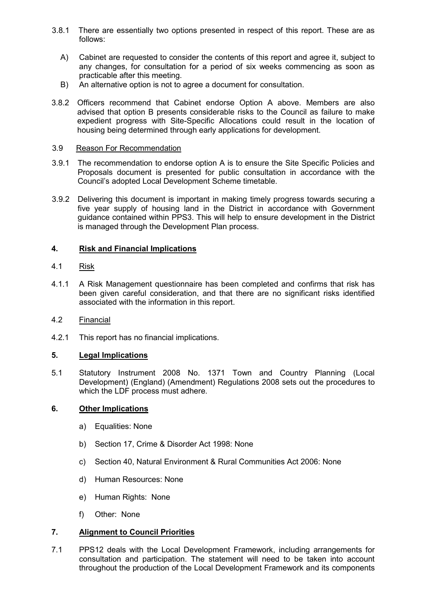- 3.8.1 There are essentially two options presented in respect of this report. These are as follows:
	- A) Cabinet are requested to consider the contents of this report and agree it, subject to any changes, for consultation for a period of six weeks commencing as soon as practicable after this meeting.
	- B) An alternative option is not to agree a document for consultation.
- 3.8.2 Officers recommend that Cabinet endorse Option A above. Members are also advised that option B presents considerable risks to the Council as failure to make expedient progress with Site-Specific Allocations could result in the location of housing being determined through early applications for development.

#### 3.9 Reason For Recommendation

- 3.9.1 The recommendation to endorse option A is to ensure the Site Specific Policies and Proposals document is presented for public consultation in accordance with the Council's adopted Local Development Scheme timetable.
- 3.9.2 Delivering this document is important in making timely progress towards securing a five year supply of housing land in the District in accordance with Government guidance contained within PPS3. This will help to ensure development in the District is managed through the Development Plan process.

### 4. Risk and Financial Implications

### 4.1 Risk

- 4.1.1 A Risk Management questionnaire has been completed and confirms that risk has been given careful consideration, and that there are no significant risks identified associated with the information in this report.
- 4.2 Financial
- 4.2.1 This report has no financial implications.

### 5. Legal Implications

5.1 Statutory Instrument 2008 No. 1371 Town and Country Planning (Local Development) (England) (Amendment) Regulations 2008 sets out the procedures to which the LDF process must adhere.

### 6. Other Implications

- a) Equalities: None
- b) Section 17, Crime & Disorder Act 1998: None
- c) Section 40, Natural Environment & Rural Communities Act 2006: None
- d) Human Resources: None
- e) Human Rights: None
- f) Other: None

# 7. Alignment to Council Priorities

7.1 PPS12 deals with the Local Development Framework, including arrangements for consultation and participation. The statement will need to be taken into account throughout the production of the Local Development Framework and its components